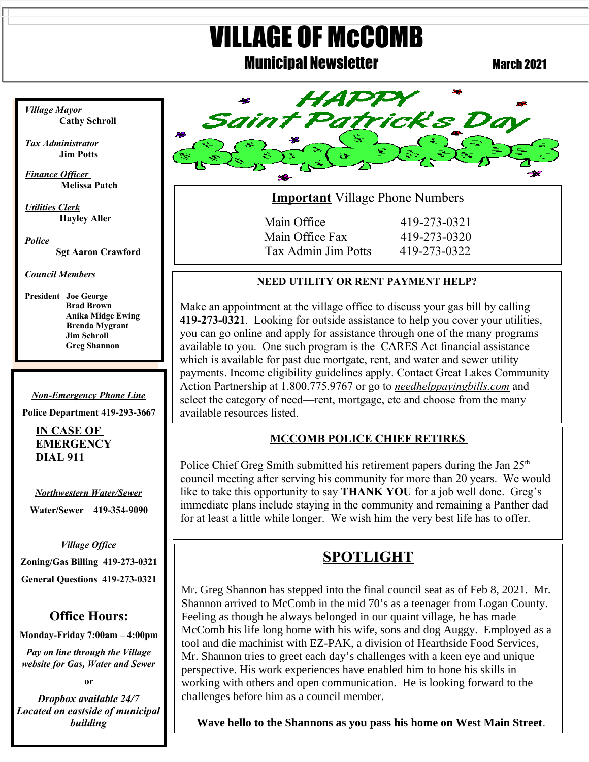# VILLAGE OF McCOMB

# **Municipal Newsletter March 2021**



**Important** Village Phone Numbers

Main Office 419-273-0321 Main Office Fax 419-273-0320 Tax Admin Jim Potts 419-273-0322

#### **NEED UTILITY OR RENT PAYMENT HELP?**

 payments. Income eligibility guidelines apply. Contact Great Lakes Community Make an appointment at the village office to discuss your gas bill by calling **419-273-0321**. Looking for outside assistance to help you cover your utilities, you can go online and apply for assistance through one of the many programs available to you. One such program is the CARES Act financial assistance which is available for past due mortgate, rent, and water and sewer utility Action Partnership at 1.800.775.9767 or go to *needhelppayingbills.com* and select the category of need—rent, mortgage, etc and choose from the many available resources listed.

#### **MCCOMB POLICE CHIEF RETIRES**

Police Chief Greg Smith submitted his retirement papers during the Jan  $25<sup>th</sup>$ council meeting after serving his community for more than 20 years. We would like to take this opportunity to say **THANK YOU** for a job well done. Greg's immediate plans include staying in the community and remaining a Panther dad for at least a little while longer. We wish him the very best life has to offer.

# **SPOTLIGHT**

Mr. Greg Shannon has stepped into the final council seat as of Feb 8, 2021. Mr. Shannon arrived to McComb in the mid 70's as a teenager from Logan County. Feeling as though he always belonged in our quaint village, he has made McComb his life long home with his wife, sons and dog Auggy. Employed as a tool and die machinist with EZ-PAK, a division of Hearthside Food Services, Mr. Shannon tries to greet each day's challenges with a keen eye and unique perspective. His work experiences have enabled him to hone his skills in working with others and open communication. He is looking forward to the challenges before him as a council member.

**Wave hello to the Shannons as you pass his home on West Main Street**.

*Village Mayor* **Cathy Schroll**

 $\overline{a}$ 

*Tax Administrator* **Jim Potts**

*Finance Officer*   **Melissa Patch**

*Utilities Clerk* **Hayley Aller**

*Police* **Sgt Aaron Crawford**

*Council Members*

**President Joe George Brad Brown Anika Midge Ewing Brenda Mygrant Jim Schroll Greg Shannon**

*Non-Emergency Phone Line*

**Police Department 419-293-3667**

**IN CASE OF EMERGENCY DIAL 911**

*Northwestern Water/Sewer* **Water/Sewer 419-354-9090**

 **Zoning/Gas Billing 419-273-0321** *Village Office* **General Questions 419-273-0321**

## **Office Hours:**

**Monday-Friday 7:00am – 4:00pm**

*Pay on line through the Village website for Gas, Water and Sewer*

**or**

*Dropbox available 24/7 Located on eastside of municipal building*